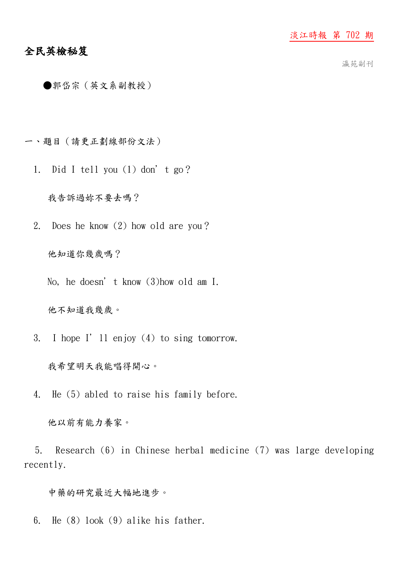## 全民英檢秘笈

瀛苑副刊

- ●郭岱宗(英文系副教授)
- 一、題目(請更正劃線部份文法)
	- 1. Did I tell you (1) don't go?

我告訴過妳不要去嗎?

2. Does he know (2) how old are you?

他知道你幾歲嗎?

No, he doesn't know (3)how old am I.

他不知道我幾歲。

3. I hope I'll enjoy (4) to sing tomorrow.

我希望明天我能唱得開心。

4. He (5) abled to raise his family before.

他以前有能力養家。

 5. Research (6) in Chinese herbal medicine (7) was large developing recently.

中藥的研究最近大幅地進步。

6. He (8) look (9) alike his father.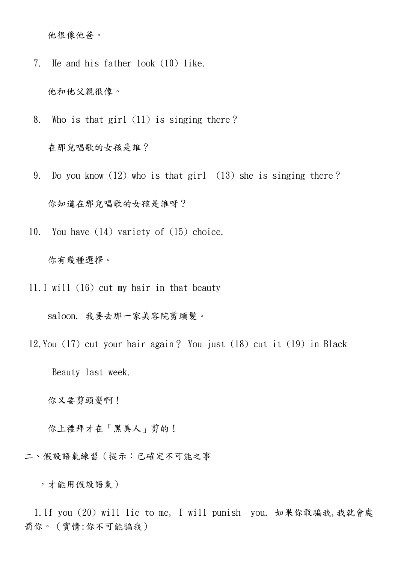他很像他爸。

7. He and his father look (10) like.

他和他父親很像。

8. Who is that girl (11) is singing there?

在那兒唱歌的女孩是誰?

- 9. Do you know (12) who is that girl (13) she is singing there? 你知道在那兒唱歌的女孩是誰呀?
- 10. You have (14) variety of (15) choice.

## 你有幾種選擇。

11.I will (16) cut my hair in that beauty

saloon. 我要去那一家美容院剪頭髮。

 12.You (17) cut your hair again? You just (18) cut it (19) in Black Beauty last week.

你又要剪頭髮啊!

你上禮拜才在「黑美人」剪的!

二、假設語氣練習(提示:已確定不可能之事

,才能用假設語氣)

 1.If you (20) will lie to me, I will punish you. 如果你敢騙我,我就會處 罰你。(實情:你不可能騙我)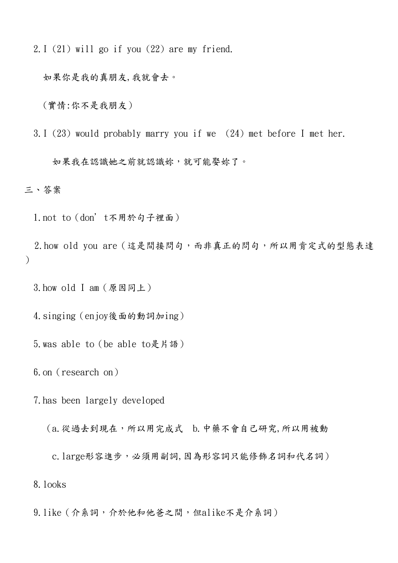2.I (21) will go if you (22) are my friend.

如果你是我的真朋友,我就會去。

(實情:你不是我朋友)

3.I (23) would probably marry you if we (24) met before I met her.

如果我在認識她之前就認識妳,就可能娶妳了。

三、答案

1.not to(don't不用於句子裡面)

 2.how old you are(這是間接問句,而非真正的問句,所以用肯定式的型態表達 )

3.how old I am(原因同上)

4.singing(enjoy後面的動詞加ing)

5.was able to(be able to是片語)

6.on(research on)

7.has been largely developed

(a.從過去到現在,所以用完成式 b.中藥不會自己研究,所以用被動

 c.large形容進步,必須用副詞,因為形容詞只能修飾名詞和代名詞) 8.looks

9.like(介系詞,介於他和他爸之間,但alike不是介系詞)